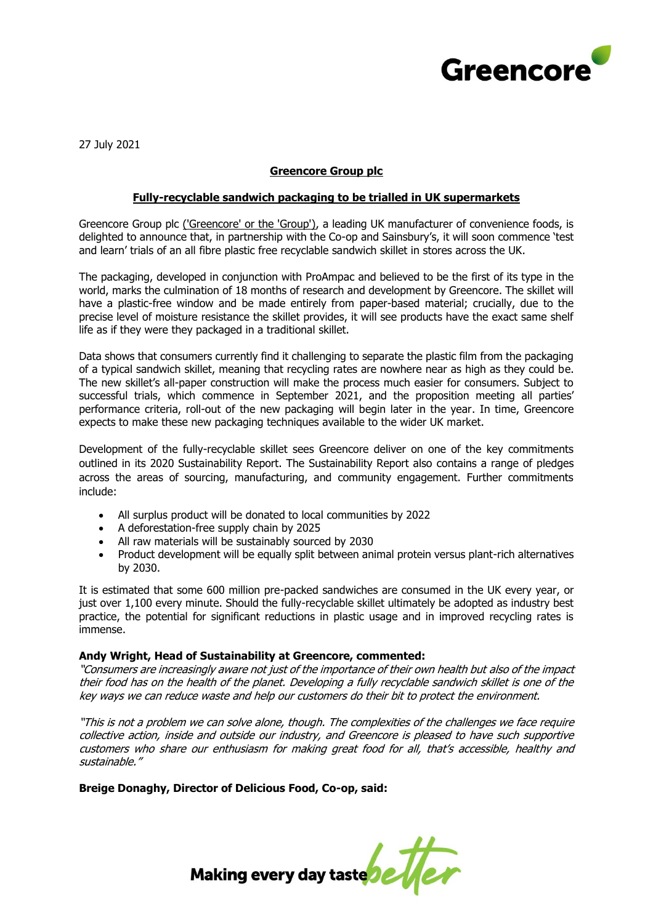

27 July 2021

# **Greencore Group plc**

## **Fully-recyclable sandwich packaging to be trialled in UK supermarkets**

Greencore Group plc ('Greencore' or the 'Group'), a leading UK manufacturer of convenience foods, is delighted to announce that, in partnership with the Co-op and Sainsbury's, it will soon commence 'test and learn' trials of an all fibre plastic free recyclable sandwich skillet in stores across the UK.

The packaging, developed in conjunction with ProAmpac and believed to be the first of its type in the world, marks the culmination of 18 months of research and development by Greencore. The skillet will have a plastic-free window and be made entirely from paper-based material; crucially, due to the precise level of moisture resistance the skillet provides, it will see products have the exact same shelf life as if they were they packaged in a traditional skillet.

Data shows that consumers currently find it challenging to separate the plastic film from the packaging of a typical sandwich skillet, meaning that recycling rates are nowhere near as high as they could be. The new skillet's all-paper construction will make the process much easier for consumers. Subject to successful trials, which commence in September 2021, and the proposition meeting all parties' performance criteria, roll-out of the new packaging will begin later in the year. In time, Greencore expects to make these new packaging techniques available to the wider UK market.

Development of the fully-recyclable skillet sees Greencore deliver on one of the key commitments outlined in its 2020 Sustainability Report. The Sustainability Report also contains a range of pledges across the areas of sourcing, manufacturing, and community engagement. Further commitments include:

- All surplus product will be donated to local communities by 2022
- A deforestation-free supply chain by 2025
- All raw materials will be sustainably sourced by 2030
- Product development will be equally split between animal protein versus plant-rich alternatives by 2030.

It is estimated that some 600 million pre-packed sandwiches are consumed in the UK every year, or just over 1,100 every minute. Should the fully-recyclable skillet ultimately be adopted as industry best practice, the potential for significant reductions in plastic usage and in improved recycling rates is immense.

## **Andy Wright, Head of Sustainability at Greencore, commented:**

"Consumers are increasingly aware not just of the importance of their own health but also of the impact their food has on the health of the planet. Developing a fully recyclable sandwich skillet is one of the key ways we can reduce waste and help our customers do their bit to protect the environment.

"This is not a problem we can solve alone, though. The complexities of the challenges we face require collective action, inside and outside our industry, and Greencore is pleased to have such supportive customers who share our enthusiasm for making great food for all, that's accessible, healthy and sustainable."

**Breige Donaghy, Director of Delicious Food, Co-op, said:** 

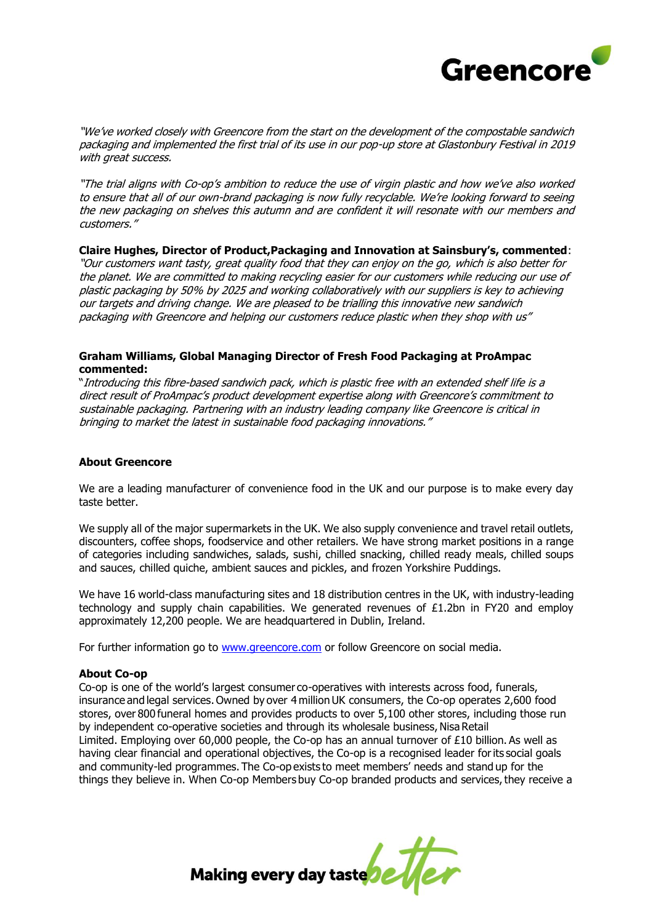

"We've worked closely with Greencore from the start on the development of the compostable sandwich packaging and implemented the first trial of its use in our pop-up store at Glastonbury Festival in 2019 with great success.

"The trial aligns with Co-op's ambition to reduce the use of virgin plastic and how we've also worked to ensure that all of our own-brand packaging is now fully recyclable. We're looking forward to seeing the new packaging on shelves this autumn and are confident it will resonate with our members and customers."

## **Claire Hughes, Director of Product,Packaging and Innovation at Sainsbury's, commented**:

"Our customers want tasty, great quality food that they can enjoy on the go, which is also better for the planet. We are committed to making recycling easier for our customers while reducing our use of plastic packaging by 50% by 2025 and working collaboratively with our suppliers is key to achieving our targets and driving change. We are pleased to be trialling this innovative new sandwich packaging with Greencore and helping our customers reduce plastic when they shop with us"

## **Graham Williams, Global Managing Director of Fresh Food Packaging at ProAmpac commented:**

"Introducing this fibre-based sandwich pack, which is plastic free with an extended shelf life is a direct result of ProAmpac's product development expertise along with Greencore's commitment to sustainable packaging. Partnering with an industry leading company like Greencore is critical in bringing to market the latest in sustainable food packaging innovations."

## **About Greencore**

We are a leading manufacturer of convenience food in the UK and our purpose is to make every day taste better.

We supply all of the major supermarkets in the UK. We also supply convenience and travel retail outlets, discounters, coffee shops, foodservice and other retailers. We have strong market positions in a range of categories including sandwiches, salads, sushi, chilled snacking, chilled ready meals, chilled soups and sauces, chilled quiche, ambient sauces and pickles, and frozen Yorkshire Puddings.

We have 16 world-class manufacturing sites and 18 distribution centres in the UK, with industry-leading technology and supply chain capabilities. We generated revenues of  $E1.2$ bn in FY20 and employ approximately 12,200 people. We are headquartered in Dublin, Ireland.

For further information go to [www.greencore.com](http://www.greencore.com/) or follow Greencore on social media.

## **About Co-op**

Co-op is one of the world's largest consumer co-operatives with interests across food, funerals, insurance and legal services. Owned by over 4 million UK consumers, the Co-op operates 2,600 food stores, over 800 funeral homes and provides products to over 5,100 other stores, including those run by independent co-operative societies and through its wholesale business, Nisa Retail Limited.  Employing over 60,000 people, the Co-op has an annual turnover of £10 billion. As well as having clear financial and operational objectives, the Co-op is a recognised leader for its social goals and community-led programmes. The Co-op exists to meet members' needs and stand up for the things they believe in.  When Co-op Members buy Co-op branded products and services, they receive a